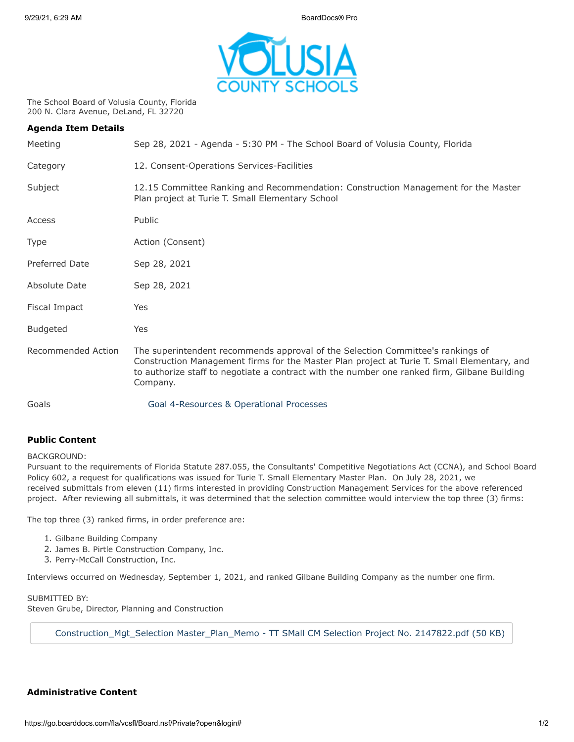

The School Board of Volusia County, Florida 200 N. Clara Avenue, DeLand, FL 32720

| <b>Agenda Item Details</b> |                                                                                                                                                                                                                                                                                            |
|----------------------------|--------------------------------------------------------------------------------------------------------------------------------------------------------------------------------------------------------------------------------------------------------------------------------------------|
| Meeting                    | Sep 28, 2021 - Agenda - 5:30 PM - The School Board of Volusia County, Florida                                                                                                                                                                                                              |
| Category                   | 12. Consent-Operations Services-Facilities                                                                                                                                                                                                                                                 |
| Subject                    | 12.15 Committee Ranking and Recommendation: Construction Management for the Master<br>Plan project at Turie T. Small Elementary School                                                                                                                                                     |
| Access                     | Public                                                                                                                                                                                                                                                                                     |
| Type                       | Action (Consent)                                                                                                                                                                                                                                                                           |
| Preferred Date             | Sep 28, 2021                                                                                                                                                                                                                                                                               |
| Absolute Date              | Sep 28, 2021                                                                                                                                                                                                                                                                               |
| Fiscal Impact              | Yes                                                                                                                                                                                                                                                                                        |
| <b>Budgeted</b>            | Yes                                                                                                                                                                                                                                                                                        |
| Recommended Action         | The superintendent recommends approval of the Selection Committee's rankings of<br>Construction Management firms for the Master Plan project at Turie T. Small Elementary, and<br>to authorize staff to negotiate a contract with the number one ranked firm, Gilbane Building<br>Company. |
| Goals                      | Goal 4-Resources & Operational Processes                                                                                                                                                                                                                                                   |

## **Public Content**

BACKGROUND:

Pursuant to the requirements of Florida Statute 287.055, the Consultants' Competitive Negotiations Act (CCNA), and School Board Policy 602, a request for qualifications was issued for Turie T. Small Elementary Master Plan. On July 28, 2021, we received submittals from eleven (11) firms interested in providing Construction Management Services for the above referenced project. After reviewing all submittals, it was determined that the selection committee would interview the top three (3) firms:

The top three (3) ranked firms, in order preference are:

- 1. Gilbane Building Company
- 2. James B. Pirtle Construction Company, Inc.
- 3. Perry-McCall Construction, Inc.

Interviews occurred on Wednesday, September 1, 2021, and ranked Gilbane Building Company as the number one firm.

## SUBMITTED BY:

Steven Grube, Director, Planning and Construction

[Construction\\_Mgt\\_Selection Master\\_Plan\\_Memo - TT SMall CM Selection Project No. 2147822.pdf \(50 KB\)](https://go.boarddocs.com/fla/vcsfl/Board.nsf/files/C6QKBU4FA943/$file/Construction_Mgt_Selection%20Master_Plan_Memo%20-%20TT%20SMall%20CM%20Selection%20Project%20No.%202147822.pdf)

## **Administrative Content**